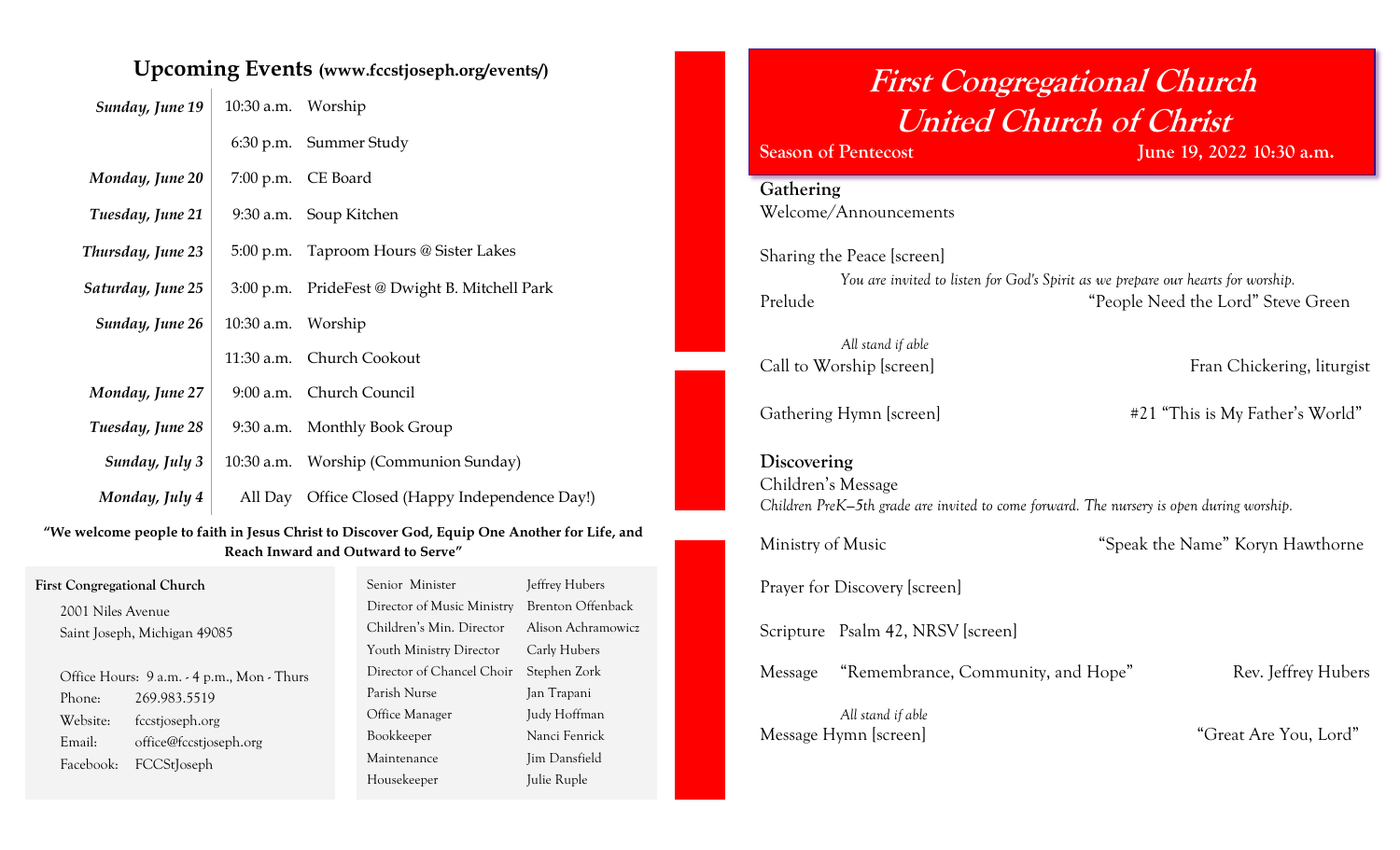## **Upcoming Events (www.fccstjoseph.org/events/)**

| Sunday, June 19   | 10:30 a.m. Worship |                                                 |
|-------------------|--------------------|-------------------------------------------------|
|                   |                    | 6:30 p.m. Summer Study                          |
| Monday, June 20   |                    | 7:00 p.m. CE Board                              |
| Tuesday, June 21  |                    | 9:30 a.m. Soup Kitchen                          |
| Thursday, June 23 |                    | 5:00 p.m. Taproom Hours @ Sister Lakes          |
| Saturday, June 25 |                    | 3:00 p.m. PrideFest @ Dwight B. Mitchell Park   |
| Sunday, June 26   | 10:30 a.m. Worship |                                                 |
|                   |                    | 11:30 a.m. Church Cookout                       |
| Monday, June 27   |                    | 9:00 a.m. Church Council                        |
| Tuesday, June 28  |                    | 9:30 a.m. Monthly Book Group                    |
| Sunday, July 3    |                    | 10:30 a.m. Worship (Communion Sunday)           |
| Monday, July 4    |                    | All Day Office Closed (Happy Independence Day!) |

**"We welcome people to faith in Jesus Christ to Discover God, Equip One Another for Life, and Reach Inward and Outward to Serve"**

| <b>First Congregational Church</b>         | Jeffrey Hubers<br>Senior Minister               |
|--------------------------------------------|-------------------------------------------------|
| 2001 Niles Avenue                          | Brenton Offenback<br>Director of Music Ministry |
| Saint Joseph, Michigan 49085               | Alison Achramowicz<br>Children's Min. Director  |
|                                            | Youth Ministry Director<br>Carly Hubers         |
| Office Hours: 9 a.m. - 4 p.m., Mon - Thurs | Director of Chancel Choir<br>Stephen Zork       |
| 269.983.5519<br>Phone:                     | Parish Nurse<br>Jan Trapani                     |
| Website:<br>fccstjoseph.org                | Judy Hoffman<br>Office Manager                  |
| office@fccstjoseph.org<br>Email:           | Nanci Fenrick<br>Bookkeeper                     |
| FCCStJoseph<br>Facebook:                   | Jim Dansfield<br>Maintenance                    |
|                                            | Julie Ruple<br>Housekeeper                      |

## **First Congregational Church United Church of Christ**

**Season of Pentecost June 19, 2022 10:30 a.m.**

| Gathering                                                                                |                                    |
|------------------------------------------------------------------------------------------|------------------------------------|
| Welcome/Announcements                                                                    |                                    |
| Sharing the Peace [screen]                                                               |                                    |
| You are invited to listen for God's Spirit as we prepare our hearts for worship.         |                                    |
| Prelude                                                                                  | "People Need the Lord" Steve Green |
| All stand if able                                                                        |                                    |
| Call to Worship [screen]                                                                 | Fran Chickering, liturgist         |
|                                                                                          |                                    |
| Gathering Hymn [screen]                                                                  | #21 "This is My Father's World"    |
|                                                                                          |                                    |
| Discovering                                                                              |                                    |
| Children's Message                                                                       |                                    |
| Children PreK-5th grade are invited to come forward. The nursery is open during worship. |                                    |
| Ministry of Music                                                                        | "Speak the Name" Koryn Hawthorne   |
|                                                                                          |                                    |
| Prayer for Discovery [screen]                                                            |                                    |
|                                                                                          |                                    |
| Scripture Psalm 42, NRSV [screen]                                                        |                                    |
| "Remembrance, Community, and Hope"<br>Message                                            | Rev. Jeffrey Hubers                |
|                                                                                          |                                    |
| All stand if able                                                                        |                                    |
| Message Hymn [screen]                                                                    | "Great Are You, Lord"              |